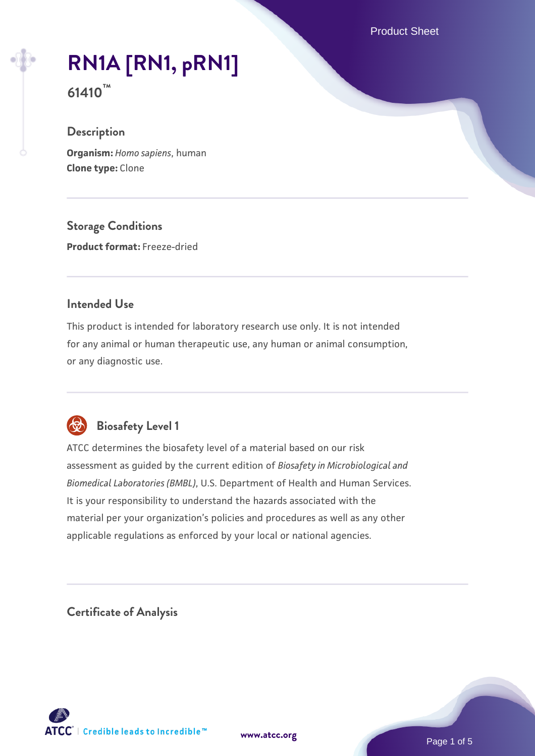Product Sheet

# **[RN1A \[RN1, pRN1\]](https://www.atcc.org/products/61410)**

**61410™**

## **Description**

**Organism:** *Homo sapiens*, human **Clone type:** Clone

**Storage Conditions**

**Product format:** Freeze-dried

## **Intended Use**

This product is intended for laboratory research use only. It is not intended for any animal or human therapeutic use, any human or animal consumption, or any diagnostic use.



# **Biosafety Level 1**

ATCC determines the biosafety level of a material based on our risk assessment as guided by the current edition of *Biosafety in Microbiological and Biomedical Laboratories (BMBL)*, U.S. Department of Health and Human Services. It is your responsibility to understand the hazards associated with the material per your organization's policies and procedures as well as any other applicable regulations as enforced by your local or national agencies.

**Certificate of Analysis**

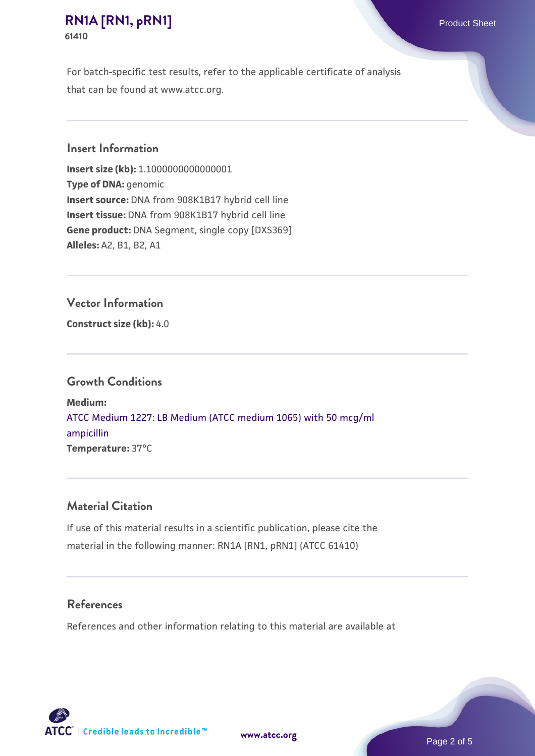### **[RN1A \[RN1, pRN1\]](https://www.atcc.org/products/61410)** Product Sheet **61410**

For batch-specific test results, refer to the applicable certificate of analysis that can be found at www.atcc.org.

#### **Insert Information**

**Insert size (kb):** 1.1000000000000001 **Type of DNA:** genomic **Insert source:** DNA from 908K1B17 hybrid cell line **Insert tissue:** DNA from 908K1B17 hybrid cell line **Gene product:** DNA Segment, single copy [DXS369] **Alleles:** A2, B1, B2, A1

#### **Vector Information**

**Construct size (kb):** 4.0

#### **Growth Conditions**

**Medium:**  [ATCC Medium 1227: LB Medium \(ATCC medium 1065\) with 50 mcg/ml](https://www.atcc.org/-/media/product-assets/documents/microbial-media-formulations/1/2/2/7/atcc-medium-1227.pdf?rev=581c98603b3e4b29a6d62ee0ba9ca578) [ampicillin](https://www.atcc.org/-/media/product-assets/documents/microbial-media-formulations/1/2/2/7/atcc-medium-1227.pdf?rev=581c98603b3e4b29a6d62ee0ba9ca578) **Temperature:** 37°C

#### **Material Citation**

If use of this material results in a scientific publication, please cite the material in the following manner: RN1A [RN1, pRN1] (ATCC 61410)

#### **References**

References and other information relating to this material are available at

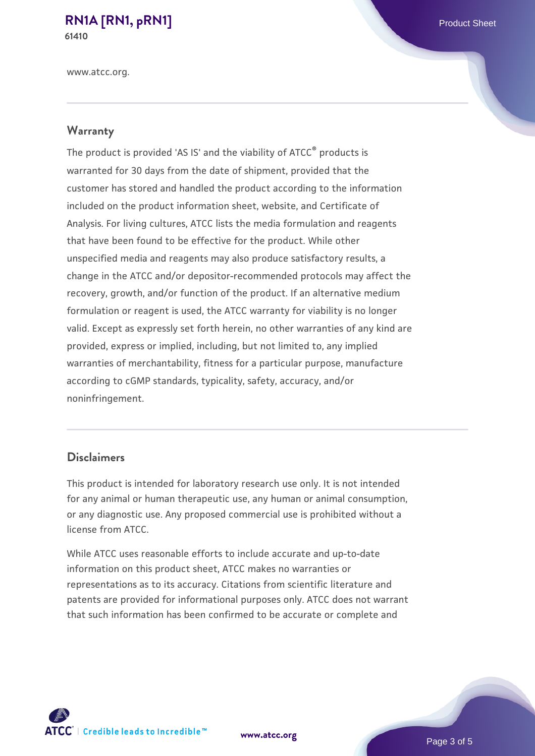#### **[RN1A \[RN1, pRN1\]](https://www.atcc.org/products/61410)** Product Sheet **61410**

www.atcc.org.

# **Warranty**

The product is provided 'AS IS' and the viability of ATCC® products is warranted for 30 days from the date of shipment, provided that the customer has stored and handled the product according to the information included on the product information sheet, website, and Certificate of Analysis. For living cultures, ATCC lists the media formulation and reagents that have been found to be effective for the product. While other unspecified media and reagents may also produce satisfactory results, a change in the ATCC and/or depositor-recommended protocols may affect the recovery, growth, and/or function of the product. If an alternative medium formulation or reagent is used, the ATCC warranty for viability is no longer valid. Except as expressly set forth herein, no other warranties of any kind are provided, express or implied, including, but not limited to, any implied warranties of merchantability, fitness for a particular purpose, manufacture according to cGMP standards, typicality, safety, accuracy, and/or noninfringement.

#### **Disclaimers**

This product is intended for laboratory research use only. It is not intended for any animal or human therapeutic use, any human or animal consumption, or any diagnostic use. Any proposed commercial use is prohibited without a license from ATCC.

While ATCC uses reasonable efforts to include accurate and up-to-date information on this product sheet, ATCC makes no warranties or representations as to its accuracy. Citations from scientific literature and patents are provided for informational purposes only. ATCC does not warrant that such information has been confirmed to be accurate or complete and



**[www.atcc.org](http://www.atcc.org)**

Page 3 of 5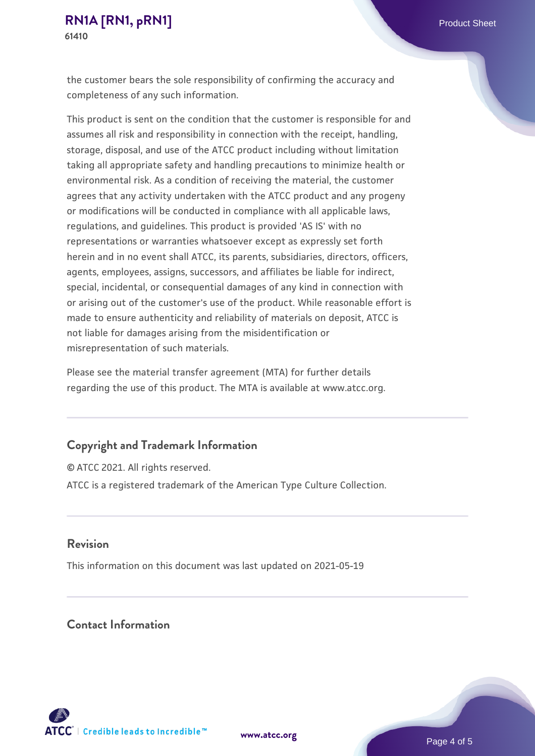the customer bears the sole responsibility of confirming the accuracy and completeness of any such information.

This product is sent on the condition that the customer is responsible for and assumes all risk and responsibility in connection with the receipt, handling, storage, disposal, and use of the ATCC product including without limitation taking all appropriate safety and handling precautions to minimize health or environmental risk. As a condition of receiving the material, the customer agrees that any activity undertaken with the ATCC product and any progeny or modifications will be conducted in compliance with all applicable laws, regulations, and guidelines. This product is provided 'AS IS' with no representations or warranties whatsoever except as expressly set forth herein and in no event shall ATCC, its parents, subsidiaries, directors, officers, agents, employees, assigns, successors, and affiliates be liable for indirect, special, incidental, or consequential damages of any kind in connection with or arising out of the customer's use of the product. While reasonable effort is made to ensure authenticity and reliability of materials on deposit, ATCC is not liable for damages arising from the misidentification or misrepresentation of such materials.

Please see the material transfer agreement (MTA) for further details regarding the use of this product. The MTA is available at www.atcc.org.

#### **Copyright and Trademark Information**

© ATCC 2021. All rights reserved. ATCC is a registered trademark of the American Type Culture Collection.

#### **Revision**

This information on this document was last updated on 2021-05-19

## **Contact Information**



**[www.atcc.org](http://www.atcc.org)**